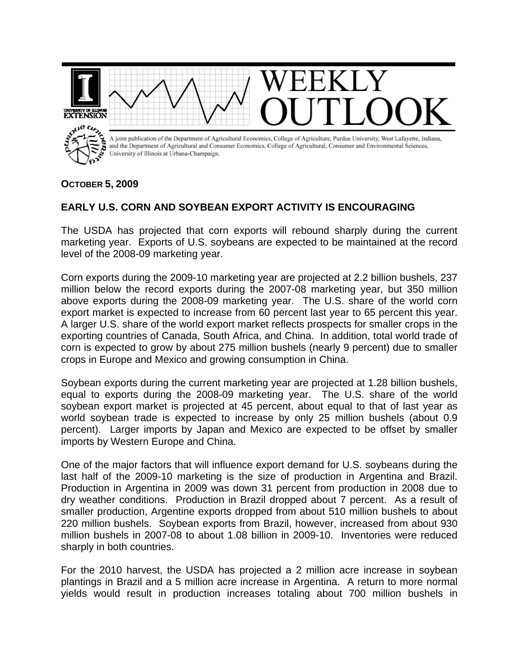

## **OCTOBER 5, 2009**

## **EARLY U.S. CORN AND SOYBEAN EXPORT ACTIVITY IS ENCOURAGING**

The USDA has projected that corn exports will rebound sharply during the current marketing year. Exports of U.S. soybeans are expected to be maintained at the record level of the 2008-09 marketing year.

Corn exports during the 2009-10 marketing year are projected at 2.2 billion bushels, 237 million below the record exports during the 2007-08 marketing year, but 350 million above exports during the 2008-09 marketing year. The U.S. share of the world corn export market is expected to increase from 60 percent last year to 65 percent this year. A larger U.S. share of the world export market reflects prospects for smaller crops in the exporting countries of Canada, South Africa, and China. In addition, total world trade of corn is expected to grow by about 275 million bushels (nearly 9 percent) due to smaller crops in Europe and Mexico and growing consumption in China.

Soybean exports during the current marketing year are projected at 1.28 billion bushels, equal to exports during the 2008-09 marketing year. The U.S. share of the world soybean export market is projected at 45 percent, about equal to that of last year as world soybean trade is expected to increase by only 25 million bushels (about 0.9 percent). Larger imports by Japan and Mexico are expected to be offset by smaller imports by Western Europe and China.

One of the major factors that will influence export demand for U.S. soybeans during the last half of the 2009-10 marketing is the size of production in Argentina and Brazil. Production in Argentina in 2009 was down 31 percent from production in 2008 due to dry weather conditions. Production in Brazil dropped about 7 percent. As a result of smaller production, Argentine exports dropped from about 510 million bushels to about 220 million bushels. Soybean exports from Brazil, however, increased from about 930 million bushels in 2007-08 to about 1.08 billion in 2009-10. Inventories were reduced sharply in both countries.

For the 2010 harvest, the USDA has projected a 2 million acre increase in soybean plantings in Brazil and a 5 million acre increase in Argentina. A return to more normal yields would result in production increases totaling about 700 million bushels in